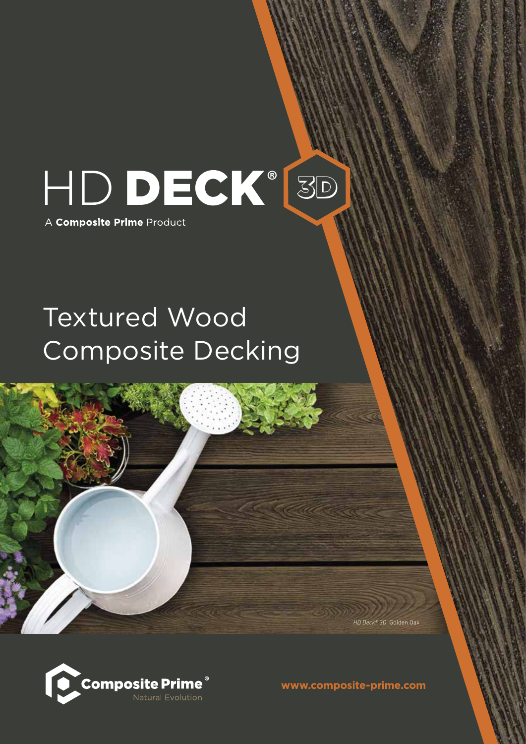

## Textured Wood Composite Decking



www.composite-prime.com

*HD Deck® 3D* Golden Oak